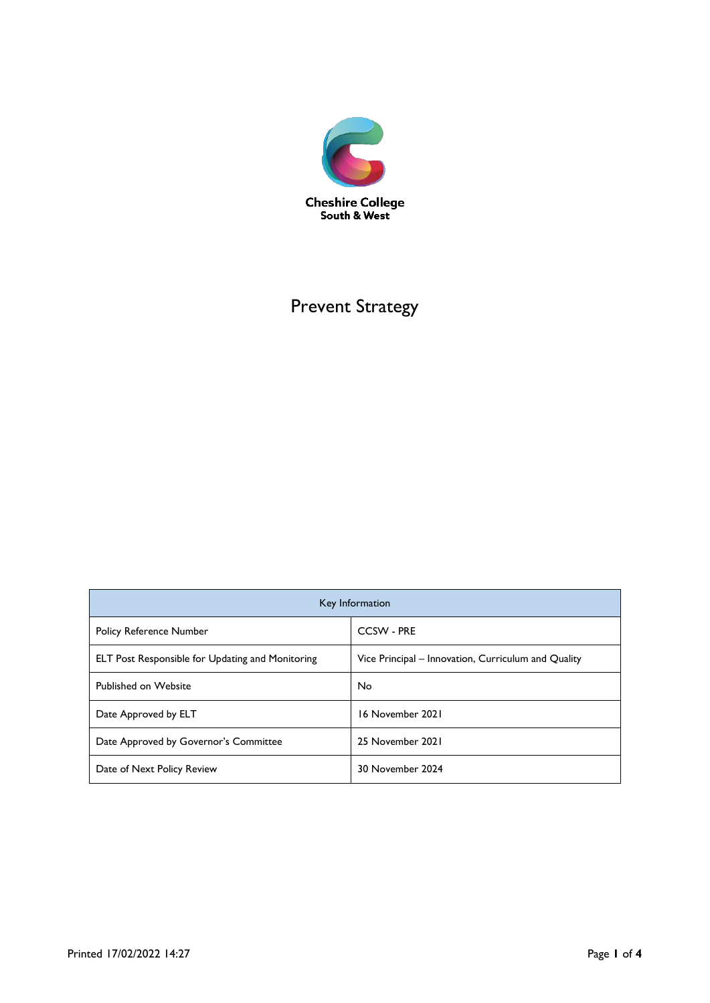

# Prevent Strategy

| Key Information                                         |                                                     |
|---------------------------------------------------------|-----------------------------------------------------|
| <b>Policy Reference Number</b>                          | <b>CCSW - PRE</b>                                   |
| <b>ELT Post Responsible for Updating and Monitoring</b> | Vice Principal – Innovation, Curriculum and Quality |
| <b>Published on Website</b>                             | No                                                  |
| Date Approved by ELT                                    | 16 November 2021                                    |
| Date Approved by Governor's Committee                   | 25 November 2021                                    |
| Date of Next Policy Review                              | 30 November 2024                                    |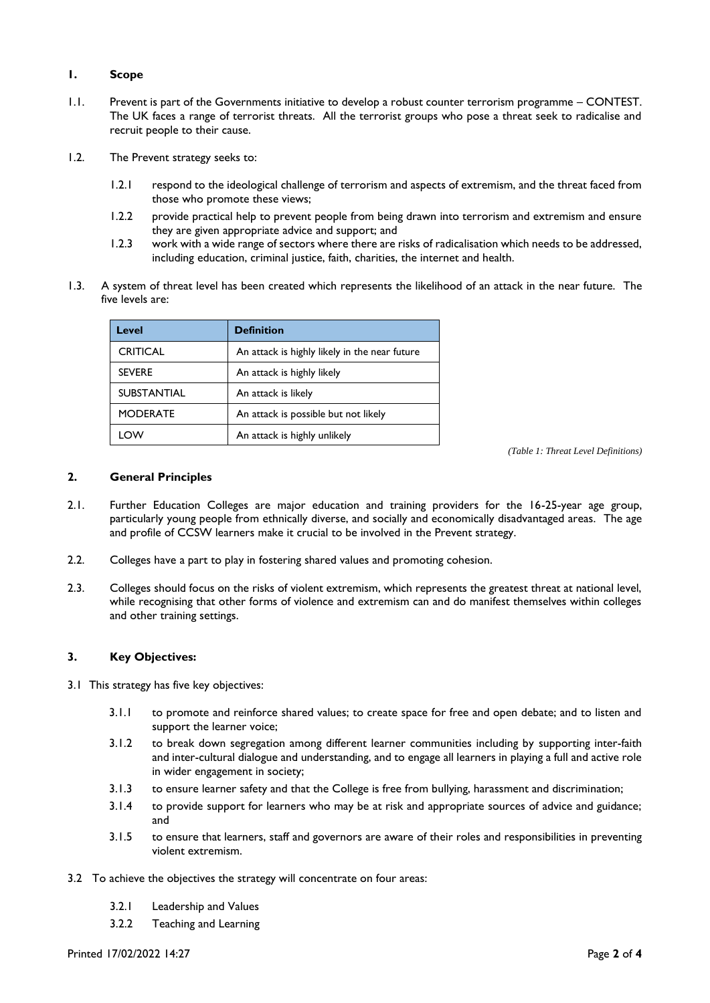## **1. Scope**

- 1.1. Prevent is part of the Governments initiative to develop a robust counter terrorism programme CONTEST. The UK faces a range of terrorist threats. All the terrorist groups who pose a threat seek to radicalise and recruit people to their cause.
- 1.2. The Prevent strategy seeks to:
	- 1.2.1 respond to the ideological challenge of terrorism and aspects of extremism, and the threat faced from those who promote these views;
	- 1.2.2 provide practical help to prevent people from being drawn into terrorism and extremism and ensure they are given appropriate advice and support; and
	- 1.2.3 work with a wide range of sectors where there are risks of radicalisation which needs to be addressed, including education, criminal justice, faith, charities, the internet and health.
- 1.3. A system of threat level has been created which represents the likelihood of an attack in the near future. The five levels are:

| Level              | <b>Definition</b>                             |
|--------------------|-----------------------------------------------|
| <b>CRITICAL</b>    | An attack is highly likely in the near future |
| <b>SEVERE</b>      | An attack is highly likely                    |
| <b>SUBSTANTIAL</b> | An attack is likely                           |
| <b>MODERATE</b>    | An attack is possible but not likely          |
| <b>OW</b>          | An attack is highly unlikely                  |

*(Table 1: Threat Level Definitions)*

# **2. General Principles**

- 2.1. Further Education Colleges are major education and training providers for the 16-25-year age group, particularly young people from ethnically diverse, and socially and economically disadvantaged areas. The age and profile of CCSW learners make it crucial to be involved in the Prevent strategy.
- 2.2. Colleges have a part to play in fostering shared values and promoting cohesion.
- 2.3. Colleges should focus on the risks of violent extremism, which represents the greatest threat at national level, while recognising that other forms of violence and extremism can and do manifest themselves within colleges and other training settings.

# **3. Key Objectives:**

- 3.1 This strategy has five key objectives:
	- 3.1.1 to promote and reinforce shared values; to create space for free and open debate; and to listen and support the learner voice;
	- 3.1.2 to break down segregation among different learner communities including by supporting inter-faith and inter-cultural dialogue and understanding, and to engage all learners in playing a full and active role in wider engagement in society;
	- 3.1.3 to ensure learner safety and that the College is free from bullying, harassment and discrimination;
	- 3.1.4 to provide support for learners who may be at risk and appropriate sources of advice and guidance; and
	- 3.1.5 to ensure that learners, staff and governors are aware of their roles and responsibilities in preventing violent extremism.
- 3.2 To achieve the objectives the strategy will concentrate on four areas:
	- 3.2.1 Leadership and Values
	- 3.2.2 Teaching and Learning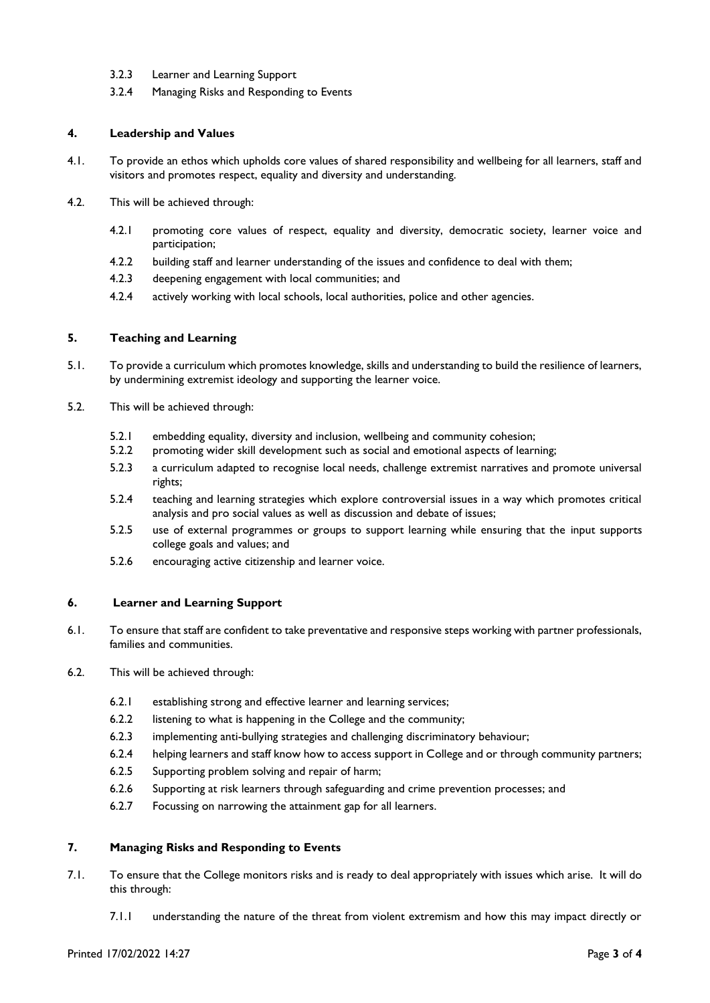- 3.2.3 Learner and Learning Support
- 3.2.4 Managing Risks and Responding to Events

#### **4. Leadership and Values**

- 4.1. To provide an ethos which upholds core values of shared responsibility and wellbeing for all learners, staff and visitors and promotes respect, equality and diversity and understanding.
- 4.2. This will be achieved through:
	- 4.2.1 promoting core values of respect, equality and diversity, democratic society, learner voice and participation;
	- 4.2.2 building staff and learner understanding of the issues and confidence to deal with them;
	- 4.2.3 deepening engagement with local communities; and
	- 4.2.4 actively working with local schools, local authorities, police and other agencies.

## **5. Teaching and Learning**

- 5.1. To provide a curriculum which promotes knowledge, skills and understanding to build the resilience of learners, by undermining extremist ideology and supporting the learner voice.
- 5.2. This will be achieved through:
	- 5.2.1 embedding equality, diversity and inclusion, wellbeing and community cohesion;
	- 5.2.2 promoting wider skill development such as social and emotional aspects of learning;
	- 5.2.3 a curriculum adapted to recognise local needs, challenge extremist narratives and promote universal rights;
	- 5.2.4 teaching and learning strategies which explore controversial issues in a way which promotes critical analysis and pro social values as well as discussion and debate of issues;
	- 5.2.5 use of external programmes or groups to support learning while ensuring that the input supports college goals and values; and
	- 5.2.6 encouraging active citizenship and learner voice.

#### **6. Learner and Learning Support**

- 6.1. To ensure that staff are confident to take preventative and responsive steps working with partner professionals, families and communities.
- 6.2. This will be achieved through:
	- 6.2.1 establishing strong and effective learner and learning services;
	- 6.2.2 listening to what is happening in the College and the community;
	- 6.2.3 implementing anti-bullying strategies and challenging discriminatory behaviour;
	- 6.2.4 helping learners and staff know how to access support in College and or through community partners;
	- 6.2.5 Supporting problem solving and repair of harm;
	- 6.2.6 Supporting at risk learners through safeguarding and crime prevention processes; and
	- 6.2.7 Focussing on narrowing the attainment gap for all learners.

# **7. Managing Risks and Responding to Events**

- 7.1. To ensure that the College monitors risks and is ready to deal appropriately with issues which arise. It will do this through:
	- 7.1.1 understanding the nature of the threat from violent extremism and how this may impact directly or